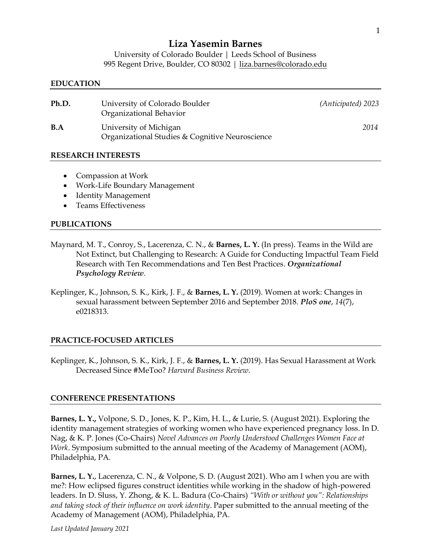# **Liza Yasemin Barnes**

University of Colorado Boulder | Leeds School of Business 995 Regent Drive, Boulder, CO 80302 | [liza.barnes@colorado.edu](mailto:liza.barnes@colorado.edu)

#### **EDUCATION**

| Ph.D. | University of Colorado Boulder<br>Organizational Behavior                 | (Anticipated) 2023 |
|-------|---------------------------------------------------------------------------|--------------------|
| B.A   | University of Michigan<br>Organizational Studies & Cognitive Neuroscience | 2014               |

#### **RESEARCH INTERESTS**

- Compassion at Work
- Work-Life Boundary Management
- Identity Management
- Teams Effectiveness

#### **PUBLICATIONS**

- Maynard, M. T., Conroy, S., Lacerenza, C. N., & **Barnes, L. Y.** (In press). Teams in the Wild are Not Extinct, but Challenging to Research: A Guide for Conducting Impactful Team Field Research with Ten Recommendations and Ten Best Practices. *Organizational Psychology Review.*
- Keplinger, K., Johnson, S. K., Kirk, J. F., & **Barnes, L. Y.** (2019). Women at work: Changes in sexual harassment between September 2016 and September 2018. *PloS one*, *14*(7), e0218313.

#### **PRACTICE-FOCUSED ARTICLES**

Keplinger, K., Johnson, S. K., Kirk, J. F., & **Barnes, L. Y.** (2019). Has Sexual Harassment at Work Decreased Since #MeToo? *Harvard Business Review.*

#### **CONFERENCE PRESENTATIONS**

**Barnes, L. Y.,** Volpone, S. D., Jones, K. P., Kim, H. L., & Lurie, S. (August 2021). Exploring the identity management strategies of working women who have experienced pregnancy loss. In D. Nag, & K. P. Jones (Co-Chairs) *Novel Advances on Poorly Understood Challenges Women Face at Work*. Symposium submitted to the annual meeting of the Academy of Management (AOM), Philadelphia, PA.

**Barnes, L. Y.**, Lacerenza, C. N., & Volpone, S. D. (August 2021). Who am I when you are with me?: How eclipsed figures construct identities while working in the shadow of high-powered leaders. In D. Sluss, Y. Zhong, & K. L. Badura (Co-Chairs) *"With or without you": Relationships and taking stock of their influence on work identity*. Paper submitted to the annual meeting of the Academy of Management (AOM), Philadelphia, PA.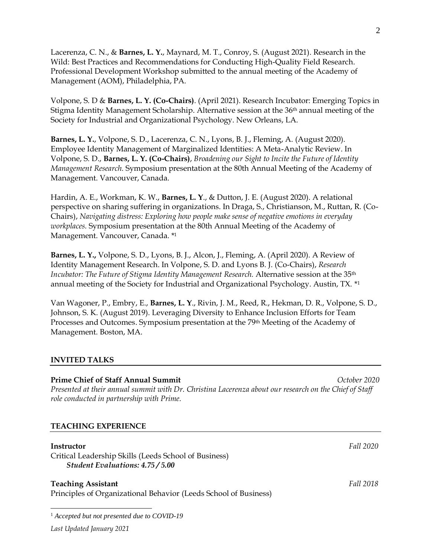Lacerenza, C. N., & **Barnes, L. Y.**, Maynard, M. T., Conroy, S. (August 2021). Research in the Wild: Best Practices and Recommendations for Conducting High-Quality Field Research. Professional Development Workshop submitted to the annual meeting of the Academy of Management (AOM), Philadelphia, PA.

Volpone, S. D & **Barnes, L. Y. (Co-Chairs)**. (April 2021). Research Incubator: Emerging Topics in Stigma Identity Management Scholarship. Alternative session at the 36th annual meeting of the Society for Industrial and Organizational Psychology. New Orleans, LA.

**Barnes, L. Y.**, Volpone, S. D., Lacerenza, C. N., Lyons, B. J., Fleming, A. (August 2020). Employee Identity Management of Marginalized Identities: A Meta-Analytic Review. In Volpone, S. D., **Barnes, L. Y. (Co-Chairs)**, *Broadening our Sight to Incite the Future of Identity Management Research.* Symposium presentation at the 80th Annual Meeting of the Academy of Management. Vancouver, Canada.

Hardin, A. E., Workman, K. W., **Barnes, L. Y**., & Dutton, J. E. (August 2020). A relational perspective on sharing suffering in organizations. In Draga, S., Christianson, M., Ruttan, R. (Co-Chairs), *Navigating distress: Exploring how people make sense of negative emotions in everyday workplaces.* Symposium presentation at the 80th Annual Meeting of the Academy of Management. Vancouver, Canada. \* 1

<span id="page-1-0"></span>**Barnes, L. Y.,** Volpone, S. D., Lyons, B. J., Alcon, J., Fleming, A. (April 2020). A Review of Identity Management Research. In Volpone, S. D. and Lyons B. J. (Co-Chairs), *Research Incubator: The Future of Stigma Identity Management Research.* Alternative session at the 35th annual meeting of the Society for Industrial and Organizational Psychology. Austin, TX. [\\*](#page-1-0) 1

Van Wagoner, P., Embry, E., **Barnes, L. Y**., Rivin, J. M., Reed, R., Hekman, D. R., Volpone, S. D., Johnson, S. K. (August 2019). Leveraging Diversity to Enhance Inclusion Efforts for Team Processes and Outcomes. Symposium presentation at the 79<sup>th</sup> Meeting of the Academy of Management. Boston, MA.

#### **INVITED TALKS**

## **Prime Chief of Staff Annual Summit** *October 2020 Presented at their annual summit with Dr. Christina Lacerenza about our research on the Chief of Staff role conducted in partnership with Prime.*

#### **TEACHING EXPERIENCE**

#### **Instructor** *Fall 2020*

Critical Leadership Skills (Leeds School of Business) *Student Evaluations: 4.75 / 5.00*

## **Teaching Assistant** *Fall 2018*

Principles of Organizational Behavior (Leeds School of Business)

<sup>1</sup> *Accepted but not presented due to COVID-19*